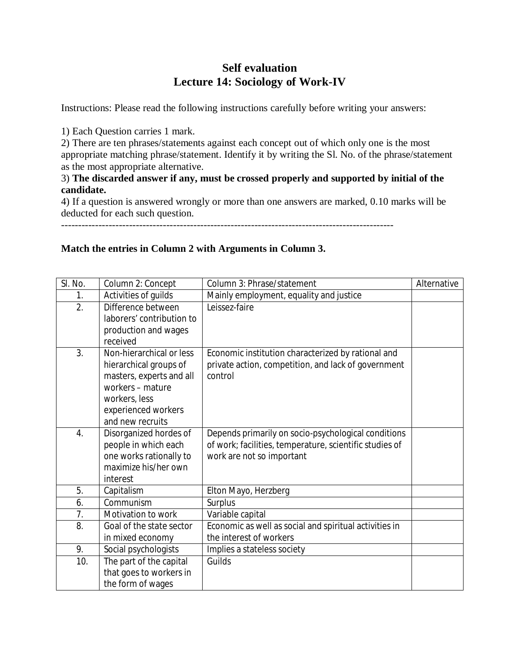# **Self evaluation Lecture 14: Sociology of Work-IV**

Instructions: Please read the following instructions carefully before writing your answers:

1) Each Question carries 1 mark.

2) There are ten phrases/statements against each concept out of which only one is the most appropriate matching phrase/statement. Identify it by writing the Sl. No. of the phrase/statement as the most appropriate alternative.

## 3) **The discarded answer if any, must be crossed properly and supported by initial of the candidate.**

4) If a question is answered wrongly or more than one answers are marked, 0.10 marks will be deducted for each such question.

--------------------------------------------------------------------------------------------------

## **Match the entries in Column 2 with Arguments in Column 3.**

| SI. No.          | Column 2: Concept         | Column 3: Phrase/statement                              | Alternative |
|------------------|---------------------------|---------------------------------------------------------|-------------|
| 1.               | Activities of quilds      | Mainly employment, equality and justice                 |             |
| $\overline{2}$ . | Difference between        | Leissez-faire                                           |             |
|                  | laborers' contribution to |                                                         |             |
|                  | production and wages      |                                                         |             |
|                  | received                  |                                                         |             |
| 3.               | Non-hierarchical or less  | Economic institution characterized by rational and      |             |
|                  | hierarchical groups of    | private action, competition, and lack of government     |             |
|                  | masters, experts and all  | control                                                 |             |
|                  | workers - mature          |                                                         |             |
|                  | workers, less             |                                                         |             |
|                  | experienced workers       |                                                         |             |
|                  | and new recruits          |                                                         |             |
| 4.               | Disorganized hordes of    | Depends primarily on socio-psychological conditions     |             |
|                  | people in which each      | of work; facilities, temperature, scientific studies of |             |
|                  | one works rationally to   | work are not so important                               |             |
|                  | maximize his/her own      |                                                         |             |
|                  | interest                  |                                                         |             |
| 5.               | Capitalism                | Elton Mayo, Herzberg                                    |             |
| 6.               | Communism                 | Surplus                                                 |             |
| 7.               | Motivation to work        | Variable capital                                        |             |
| 8.               | Goal of the state sector  | Economic as well as social and spiritual activities in  |             |
|                  | in mixed economy          | the interest of workers                                 |             |
| 9.               | Social psychologists      | Implies a stateless society                             |             |
| 10.              | The part of the capital   | Guilds                                                  |             |
|                  | that goes to workers in   |                                                         |             |
|                  | the form of wages         |                                                         |             |